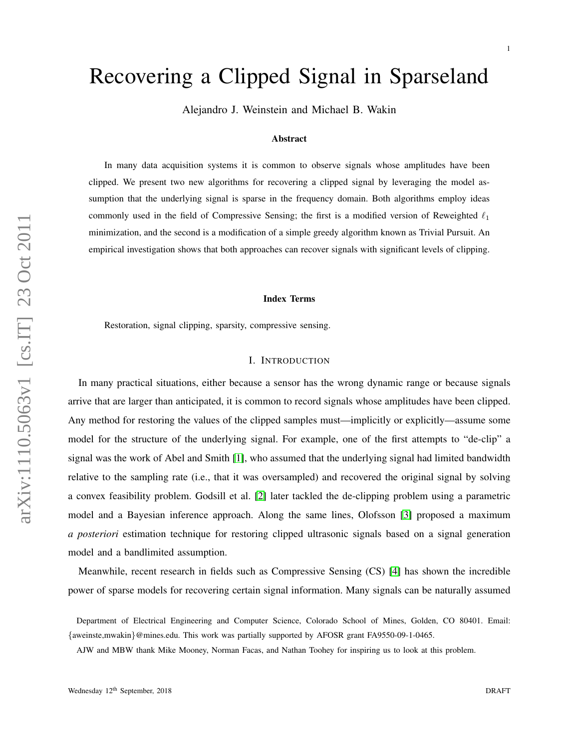# Recovering a Clipped Signal in Sparseland

Alejandro J. Weinstein and Michael B. Wakin

#### Abstract

In many data acquisition systems it is common to observe signals whose amplitudes have been clipped. We present two new algorithms for recovering a clipped signal by leveraging the model assumption that the underlying signal is sparse in the frequency domain. Both algorithms employ ideas commonly used in the field of Compressive Sensing; the first is a modified version of Reweighted  $\ell_1$ minimization, and the second is a modification of a simple greedy algorithm known as Trivial Pursuit. An empirical investigation shows that both approaches can recover signals with significant levels of clipping.

#### Index Terms

Restoration, signal clipping, sparsity, compressive sensing.

#### I. INTRODUCTION

In many practical situations, either because a sensor has the wrong dynamic range or because signals arrive that are larger than anticipated, it is common to record signals whose amplitudes have been clipped. Any method for restoring the values of the clipped samples must—implicitly or explicitly—assume some model for the structure of the underlying signal. For example, one of the first attempts to "de-clip" a signal was the work of Abel and Smith [\[1\]](#page-8-0), who assumed that the underlying signal had limited bandwidth relative to the sampling rate (i.e., that it was oversampled) and recovered the original signal by solving a convex feasibility problem. Godsill et al. [\[2\]](#page-8-1) later tackled the de-clipping problem using a parametric model and a Bayesian inference approach. Along the same lines, Olofsson [\[3\]](#page-9-0) proposed a maximum *a posteriori* estimation technique for restoring clipped ultrasonic signals based on a signal generation model and a bandlimited assumption.

Meanwhile, recent research in fields such as Compressive Sensing (CS) [\[4\]](#page-9-1) has shown the incredible power of sparse models for recovering certain signal information. Many signals can be naturally assumed

Department of Electrical Engineering and Computer Science, Colorado School of Mines, Golden, CO 80401. Email: {aweinste,mwakin}@mines.edu. This work was partially supported by AFOSR grant FA9550-09-1-0465.

AJW and MBW thank Mike Mooney, Norman Facas, and Nathan Toohey for inspiring us to look at this problem.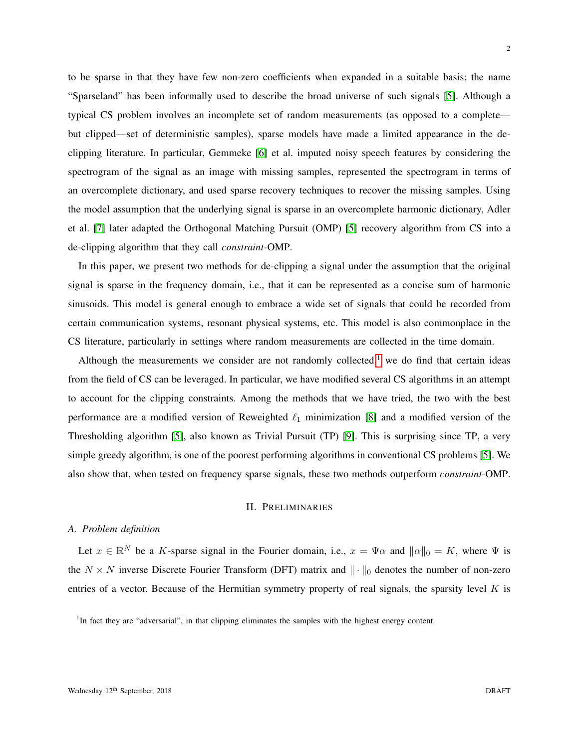to be sparse in that they have few non-zero coefficients when expanded in a suitable basis; the name "Sparseland" has been informally used to describe the broad universe of such signals [\[5\]](#page-9-2). Although a typical CS problem involves an incomplete set of random measurements (as opposed to a complete but clipped—set of deterministic samples), sparse models have made a limited appearance in the declipping literature. In particular, Gemmeke [\[6\]](#page-9-3) et al. imputed noisy speech features by considering the spectrogram of the signal as an image with missing samples, represented the spectrogram in terms of an overcomplete dictionary, and used sparse recovery techniques to recover the missing samples. Using the model assumption that the underlying signal is sparse in an overcomplete harmonic dictionary, Adler et al. [\[7\]](#page-9-4) later adapted the Orthogonal Matching Pursuit (OMP) [\[5\]](#page-9-2) recovery algorithm from CS into a de-clipping algorithm that they call *constraint*-OMP.

In this paper, we present two methods for de-clipping a signal under the assumption that the original signal is sparse in the frequency domain, i.e., that it can be represented as a concise sum of harmonic sinusoids. This model is general enough to embrace a wide set of signals that could be recorded from certain communication systems, resonant physical systems, etc. This model is also commonplace in the CS literature, particularly in settings where random measurements are collected in the time domain.

Although the measurements we consider are not randomly collected, $1$  we do find that certain ideas from the field of CS can be leveraged. In particular, we have modified several CS algorithms in an attempt to account for the clipping constraints. Among the methods that we have tried, the two with the best performance are a modified version of Reweighted  $\ell_1$  minimization [\[8\]](#page-9-5) and a modified version of the Thresholding algorithm [\[5\]](#page-9-2), also known as Trivial Pursuit (TP) [\[9\]](#page-9-6). This is surprising since TP, a very simple greedy algorithm, is one of the poorest performing algorithms in conventional CS problems [\[5\]](#page-9-2). We also show that, when tested on frequency sparse signals, these two methods outperform *constraint*-OMP.

#### II. PRELIMINARIES

# *A. Problem definition*

Let  $x \in \mathbb{R}^N$  be a K-sparse signal in the Fourier domain, i.e.,  $x = \Psi \alpha$  and  $\|\alpha\|_0 = K$ , where  $\Psi$  is the  $N \times N$  inverse Discrete Fourier Transform (DFT) matrix and  $\|\cdot\|_0$  denotes the number of non-zero entries of a vector. Because of the Hermitian symmetry property of real signals, the sparsity level  $K$  is

<span id="page-1-0"></span><sup>1</sup>In fact they are "adversarial", in that clipping eliminates the samples with the highest energy content.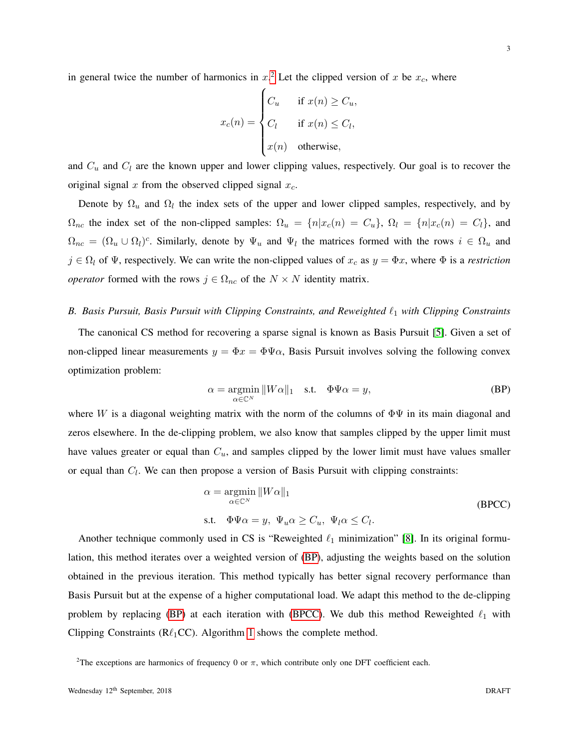in general twice the number of harmonics in  $x^2$  $x^2$ . Let the clipped version of x be  $x_c$ , where

$$
x_c(n) = \begin{cases} C_u & \text{if } x(n) \ge C_u, \\ C_l & \text{if } x(n) \le C_l, \\ x(n) & \text{otherwise,} \end{cases}
$$

and  $C_u$  and  $C_l$  are the known upper and lower clipping values, respectively. Our goal is to recover the original signal x from the observed clipped signal  $x_c$ .

Denote by  $\Omega_u$  and  $\Omega_l$  the index sets of the upper and lower clipped samples, respectively, and by  $\Omega_{nc}$  the index set of the non-clipped samples:  $\Omega_u = \{n|x_c(n) = C_u\}$ ,  $\Omega_l = \{n|x_c(n) = C_l\}$ , and  $\Omega_{nc} = (\Omega_u \cup \Omega_l)^c$ . Similarly, denote by  $\Psi_u$  and  $\Psi_l$  the matrices formed with the rows  $i \in \Omega_u$  and  $j \in \Omega_l$  of  $\Psi$ , respectively. We can write the non-clipped values of  $x_c$  as  $y = \Phi x$ , where  $\Phi$  is a *restriction operator* formed with the rows  $j \in \Omega_{nc}$  of the  $N \times N$  identity matrix.

### *B. Basis Pursuit, Basis Pursuit with Clipping Constraints, and Reweighted*  $\ell_1$  *with Clipping Constraints*

The canonical CS method for recovering a sparse signal is known as Basis Pursuit [\[5\]](#page-9-2). Given a set of non-clipped linear measurements  $y = \Phi x = \Phi \Psi \alpha$ , Basis Pursuit involves solving the following convex optimization problem:

<span id="page-2-1"></span>
$$
\alpha = \underset{\alpha \in \mathbb{C}^N}{\operatorname{argmin}} \|W\alpha\|_1 \quad \text{s.t.} \quad \Phi\Psi\alpha = y,\tag{BP}
$$

where W is a diagonal weighting matrix with the norm of the columns of  $\Phi\Psi$  in its main diagonal and zeros elsewhere. In the de-clipping problem, we also know that samples clipped by the upper limit must have values greater or equal than  $C_u$ , and samples clipped by the lower limit must have values smaller or equal than  $C_l$ . We can then propose a version of Basis Pursuit with clipping constraints:

<span id="page-2-2"></span>
$$
\alpha = \underset{\alpha \in \mathbb{C}^N}{\operatorname{argmin}} \|W\alpha\|_1
$$
  
s.t.  $\Phi \Psi \alpha = y, \ \Psi_u \alpha \ge C_u, \ \Psi_l \alpha \le C_l.$  (BPCC)

Another technique commonly used in CS is "Reweighted  $\ell_1$  minimization" [\[8\]](#page-9-5). In its original formulation, this method iterates over a weighted version of [\(BP\)](#page-2-1), adjusting the weights based on the solution obtained in the previous iteration. This method typically has better signal recovery performance than Basis Pursuit but at the expense of a higher computational load. We adapt this method to the de-clipping problem by replacing [\(BP\)](#page-2-1) at each iteration with [\(BPCC\)](#page-2-2). We dub this method Reweighted  $\ell_1$  with Clipping Constraints ( $\mathsf{R}\ell_1\mathsf{CC}$ ). Algorithm [1](#page-3-0) shows the complete method.

<span id="page-2-0"></span><sup>&</sup>lt;sup>2</sup>The exceptions are harmonics of frequency 0 or  $\pi$ , which contribute only one DFT coefficient each.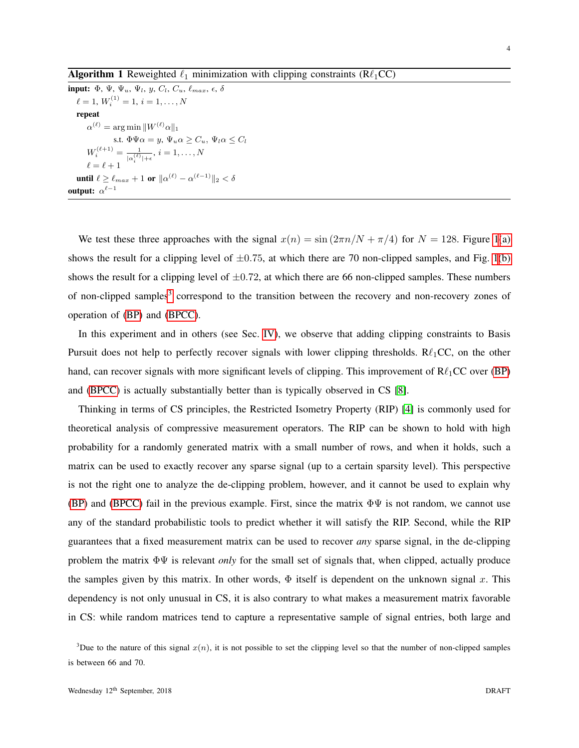<span id="page-3-0"></span>input:  $\Phi$ ,  $\Psi$ ,  $\Psi_u$ ,  $\Psi_l$ ,  $y$ ,  $C_l$ ,  $C_u$ ,  $\ell_{max}$ ,  $\epsilon$ ,  $\delta$  $\ell = 1, W_i^{(1)} = 1, i = 1, \ldots, N$ repeat  $\alpha^{(\ell)} = \argmin \|W^{(\ell)}\alpha\|_1$ s.t.  $\Phi \Psi \alpha = y$ ,  $\Psi_u \alpha \geq C_u$ ,  $\Psi_l \alpha \leq C_l$  $W_i^{(\ell+1)} = \frac{1}{\ln(\ell)}$  $\frac{1}{|\alpha_i^{(\ell)}|+\epsilon},\,i=1,\ldots,N$  $\ell = \ell + 1$ until  $\ell \geq \ell_{max} + 1$  or  $\|\alpha^{(\ell)} - \alpha^{(\ell-1)}\|_2 < \delta$ output:  $\alpha^{\ell-1}$ 

We test these three approaches with the signal  $x(n) = \sin(2\pi n/N + \pi/4)$  for  $N = 128$  $N = 128$  $N = 128$ . Figure 1[\(a\)](#page-4-1) shows the result for a clipping level of  $\pm 0.75$ , at which there are 70 non-clipped samples, and Fig. [1](#page-4-0)[\(b\)](#page-4-2) shows the result for a clipping level of  $\pm 0.72$ , at which there are 66 non-clipped samples. These numbers of non-clipped samples<sup>[3](#page-3-1)</sup> correspond to the transition between the recovery and non-recovery zones of operation of [\(BP\)](#page-2-1) and [\(BPCC\)](#page-2-2).

In this experiment and in others (see Sec. [IV\)](#page-7-0), we observe that adding clipping constraints to Basis Pursuit does not help to perfectly recover signals with lower clipping thresholds.  $R\ell_1CC$ , on the other hand, can recover signals with more significant levels of clipping. This improvement of  $R\ell_1CC$  over [\(BP\)](#page-2-1) and [\(BPCC\)](#page-2-2) is actually substantially better than is typically observed in CS [\[8\]](#page-9-5).

Thinking in terms of CS principles, the Restricted Isometry Property (RIP) [\[4\]](#page-9-1) is commonly used for theoretical analysis of compressive measurement operators. The RIP can be shown to hold with high probability for a randomly generated matrix with a small number of rows, and when it holds, such a matrix can be used to exactly recover any sparse signal (up to a certain sparsity level). This perspective is not the right one to analyze the de-clipping problem, however, and it cannot be used to explain why [\(BP\)](#page-2-1) and [\(BPCC\)](#page-2-2) fail in the previous example. First, since the matrix  $\Phi\Psi$  is not random, we cannot use any of the standard probabilistic tools to predict whether it will satisfy the RIP. Second, while the RIP guarantees that a fixed measurement matrix can be used to recover *any* sparse signal, in the de-clipping problem the matrix ΦΨ is relevant *only* for the small set of signals that, when clipped, actually produce the samples given by this matrix. In other words,  $\Phi$  itself is dependent on the unknown signal x. This dependency is not only unusual in CS, it is also contrary to what makes a measurement matrix favorable in CS: while random matrices tend to capture a representative sample of signal entries, both large and

<span id="page-3-1"></span><sup>&</sup>lt;sup>3</sup>Due to the nature of this signal  $x(n)$ , it is not possible to set the clipping level so that the number of non-clipped samples is between 66 and 70.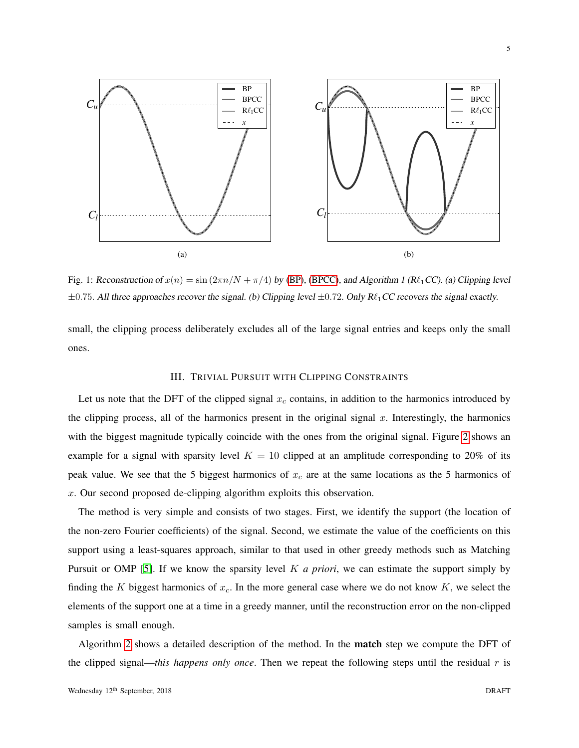<span id="page-4-1"></span><span id="page-4-0"></span>

Fig. 1: Reconstruction of  $x(n) = \sin(2\pi n/N + \pi/4)$  by [\(BP\)](#page-2-1), [\(BPCC\)](#page-2-2), and Algorithm 1 (R $\ell_1$ CC). (a) Clipping level  $\pm 0.75$ . All three approaches recover the signal. (b) Clipping level  $\pm 0.72$ . Only R $\ell_1$ CC recovers the signal exactly.

small, the clipping process deliberately excludes all of the large signal entries and keeps only the small ones.

# <span id="page-4-2"></span>III. TRIVIAL PURSUIT WITH CLIPPING CONSTRAINTS

Let us note that the DFT of the clipped signal  $x_c$  contains, in addition to the harmonics introduced by the clipping process, all of the harmonics present in the original signal  $x$ . Interestingly, the harmonics with the biggest magnitude typically coincide with the ones from the original signal. Figure [2](#page-5-0) shows an example for a signal with sparsity level  $K = 10$  clipped at an amplitude corresponding to 20% of its peak value. We see that the 5 biggest harmonics of  $x_c$  are at the same locations as the 5 harmonics of x. Our second proposed de-clipping algorithm exploits this observation.

The method is very simple and consists of two stages. First, we identify the support (the location of the non-zero Fourier coefficients) of the signal. Second, we estimate the value of the coefficients on this support using a least-squares approach, similar to that used in other greedy methods such as Matching Pursuit or OMP [\[5\]](#page-9-2). If we know the sparsity level K *a priori*, we can estimate the support simply by finding the K biggest harmonics of  $x_c$ . In the more general case where we do not know K, we select the elements of the support one at a time in a greedy manner, until the reconstruction error on the non-clipped samples is small enough.

Algorithm [2](#page-5-1) shows a detailed description of the method. In the match step we compute the DFT of the clipped signal—*this happens only once*. Then we repeat the following steps until the residual  $r$  is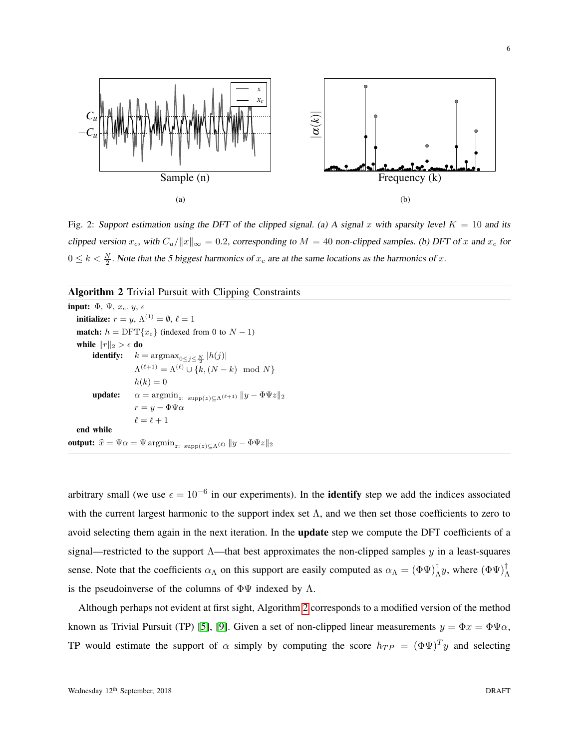<span id="page-5-0"></span>

Fig. 2: Support estimation using the DFT of the clipped signal. (a) A signal x with sparsity level  $K = 10$  and its clipped version  $x_c$ , with  $C_u/\|x\|_{\infty} = 0.2$ , corresponding to  $M = 40$  non-clipped samples. (b) DFT of x and  $x_c$  for  $0 \le k < \frac{N}{2}$ . Note that the 5 biggest harmonics of  $x_c$  are at the same locations as the harmonics of x.

## <span id="page-5-1"></span>Algorithm 2 Trivial Pursuit with Clipping Constraints

input:  $\Phi$ ,  $\Psi$ ,  $x_c$ .  $y$ ,  $\epsilon$ **initialize:**  $r = y$ ,  $\Lambda^{(1)} = \emptyset$ ,  $\ell = 1$ **match:**  $h = \text{DFT}\lbrace x_c \rbrace$  (indexed from 0 to  $N - 1$ ) while  $||r||_2 > \epsilon$  do **identify:**  $k = \operatorname{argmax}_{0 \le j \le \frac{N}{2}} |h(j)|$  $\Lambda^{(\ell+1)} = \Lambda^{(\ell)} \cup \{k,(N-k) \mod N\}$  $h(k) = 0$ **update:**  $\alpha = \operatorname{argmin}_{z: \ \operatorname{supp}(z) \subset \Lambda^{(\ell+1)}} \|y - \Phi \Psi z\|_2$  $r = y - \Phi \Psi \alpha$  $\ell = \ell + 1$ end while output:  $\hat{x} = \Psi \alpha = \Psi \operatorname{argmin}_{z: \text{ supp}(z) \subseteq \Lambda^{(\ell)}} \|y - \Phi \Psi z\|_2$ 

arbitrary small (we use  $\epsilon = 10^{-6}$  in our experiments). In the **identify** step we add the indices associated with the current largest harmonic to the support index set  $\Lambda$ , and we then set those coefficients to zero to avoid selecting them again in the next iteration. In the update step we compute the DFT coefficients of a signal—restricted to the support  $\Lambda$ —that best approximates the non-clipped samples y in a least-squares sense. Note that the coefficients  $\alpha_{\Lambda}$  on this support are easily computed as  $\alpha_{\Lambda} = (\Phi \Psi)^{\dagger}_{\Lambda} y$ , where  $(\Phi \Psi)^{\dagger}_{\Lambda}$ is the pseudoinverse of the columns of  $\Phi\Psi$  indexed by  $\Lambda$ .

Although perhaps not evident at first sight, Algorithm [2](#page-5-1) corresponds to a modified version of the method known as Trivial Pursuit (TP) [\[5\]](#page-9-2), [\[9\]](#page-9-6). Given a set of non-clipped linear measurements  $y = \Phi x = \Phi \Psi \alpha$ , TP would estimate the support of  $\alpha$  simply by computing the score  $h_{TP} = (\Phi \Psi)^T y$  and selecting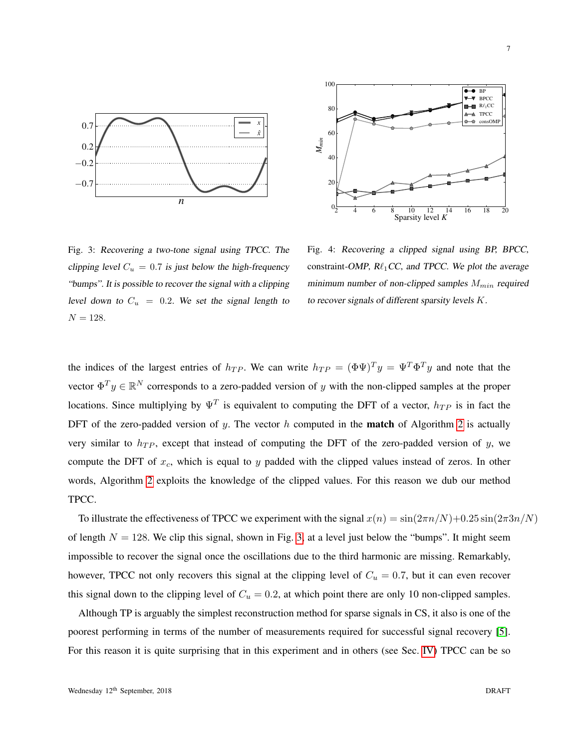<span id="page-6-0"></span>

2 4 6 8 10 12 14 16 18 20 Sparsity level *K*  $\overline{0}$ 20 40 60 80 100 *Mmin*  $\bullet$  BP **W** BPCC  $R\ell_1CC$  $\triangle$  TPCC  $\bullet$  consOMP

Fig. 3: Recovering a two-tone signal using TPCC. The clipping level  $C_u = 0.7$  is just below the high-frequency "bumps". It is possible to recover the signal with a clipping level down to  $C_u = 0.2$ . We set the signal length to  $N = 128.$ 

Fig. 4: Recovering a clipped signal using BP, BPCC, constraint-OMP,  $R\ell_1CC$ , and TPCC. We plot the average minimum number of non-clipped samples  $M_{min}$  required to recover signals of different sparsity levels K.

the indices of the largest entries of  $h_{TP}$ . We can write  $h_{TP} = (\Phi \Psi)^T y = \Psi^T \Phi^T y$  and note that the vector  $\Phi^T y \in \mathbb{R}^N$  corresponds to a zero-padded version of y with the non-clipped samples at the proper locations. Since multiplying by  $\Psi^T$  is equivalent to computing the DFT of a vector,  $h_{TP}$  is in fact the DFT of the zero-padded version of y. The vector h computed in the **match** of Algorithm [2](#page-5-1) is actually very similar to  $h_{TP}$ , except that instead of computing the DFT of the zero-padded version of y, we compute the DFT of  $x_c$ , which is equal to y padded with the clipped values instead of zeros. In other words, Algorithm [2](#page-5-1) exploits the knowledge of the clipped values. For this reason we dub our method TPCC.

To illustrate the effectiveness of TPCC we experiment with the signal  $x(n) = \sin(2\pi n/N) + 0.25 \sin(2\pi 3n/N)$ of length  $N = 128$ . We clip this signal, shown in Fig. [3,](#page-6-0) at a level just below the "bumps". It might seem impossible to recover the signal once the oscillations due to the third harmonic are missing. Remarkably, however, TPCC not only recovers this signal at the clipping level of  $C_u = 0.7$ , but it can even recover this signal down to the clipping level of  $C_u = 0.2$ , at which point there are only 10 non-clipped samples.

Although TP is arguably the simplest reconstruction method for sparse signals in CS, it also is one of the poorest performing in terms of the number of measurements required for successful signal recovery [\[5\]](#page-9-2). For this reason it is quite surprising that in this experiment and in others (see Sec. [IV\)](#page-7-0) TPCC can be so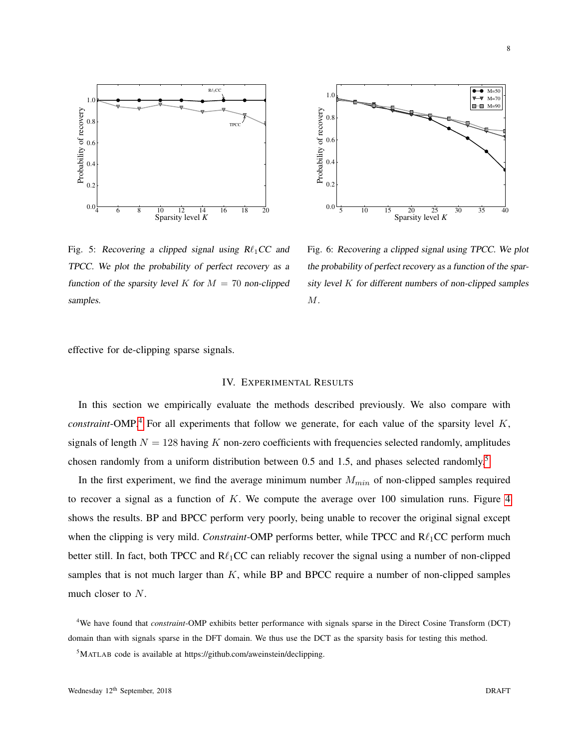<span id="page-7-3"></span>



Fig. 5: Recovering a clipped signal using  $R\ell_1CC$  and TPCC. We plot the probability of perfect recovery as a function of the sparsity level K for  $M = 70$  non-clipped samples.

Fig. 6: Recovering a clipped signal using TPCC. We plot the probability of perfect recovery as a function of the sparsity level  $K$  for different numbers of non-clipped samples M.

<span id="page-7-0"></span>effective for de-clipping sparse signals.

## IV. EXPERIMENTAL RESULTS

In this section we empirically evaluate the methods described previously. We also compare with *constraint*-OMP.<sup>[4](#page-7-1)</sup> For all experiments that follow we generate, for each value of the sparsity level  $K$ , signals of length  $N = 128$  having K non-zero coefficients with frequencies selected randomly, amplitudes chosen randomly from a uniform distribution between 0.5 and 1.5, and phases selected randomly.[5](#page-7-2)

In the first experiment, we find the average minimum number  $M_{min}$  of non-clipped samples required to recover a signal as a function of  $K$ . We compute the average over 100 simulation runs. Figure [4](#page-6-0) shows the results. BP and BPCC perform very poorly, being unable to recover the original signal except when the clipping is very mild. *Constraint*-OMP performs better, while TPCC and  $R\ell_1$ CC perform much better still. In fact, both TPCC and  $R\ell_1CC$  can reliably recover the signal using a number of non-clipped samples that is not much larger than  $K$ , while BP and BPCC require a number of non-clipped samples much closer to N.

<span id="page-7-1"></span><sup>4</sup>We have found that *constraint*-OMP exhibits better performance with signals sparse in the Direct Cosine Transform (DCT) domain than with signals sparse in the DFT domain. We thus use the DCT as the sparsity basis for testing this method.

<span id="page-7-2"></span><sup>5</sup>MATLAB code is available at https://github.com/aweinstein/declipping.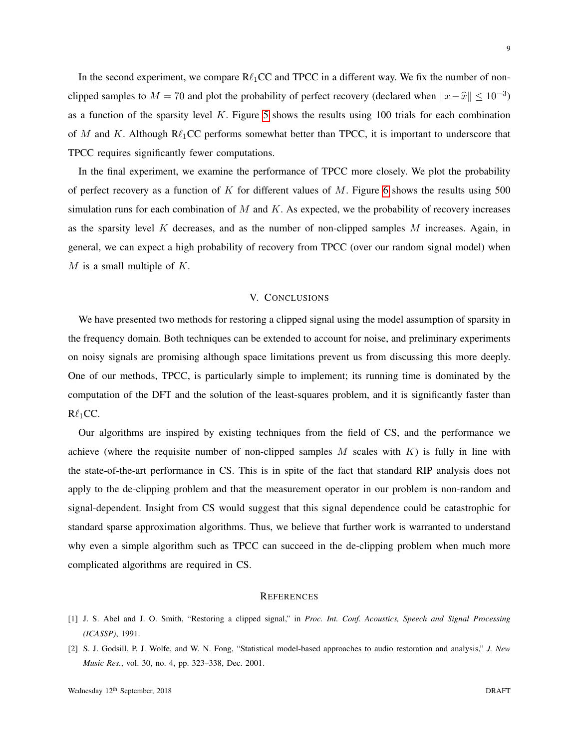In the second experiment, we compare  $\mathbb{R}\ell_1$ CC and TPCC in a different way. We fix the number of nonclipped samples to  $M = 70$  and plot the probability of perfect recovery (declared when  $||x - \hat{x}|| \le 10^{-3}$ ) as a function of the sparsity level  $K$ . Figure [5](#page-7-3) shows the results using 100 trials for each combination of M and K. Although  $\mathbb{R}\ell_1$ CC performs somewhat better than TPCC, it is important to underscore that TPCC requires significantly fewer computations.

In the final experiment, we examine the performance of TPCC more closely. We plot the probability of perfect recovery as a function of K for different values of M. Figure [6](#page-7-3) shows the results using 500 simulation runs for each combination of  $M$  and  $K$ . As expected, we the probability of recovery increases as the sparsity level  $K$  decreases, and as the number of non-clipped samples  $M$  increases. Again, in general, we can expect a high probability of recovery from TPCC (over our random signal model) when  $M$  is a small multiple of  $K$ .

#### V. CONCLUSIONS

We have presented two methods for restoring a clipped signal using the model assumption of sparsity in the frequency domain. Both techniques can be extended to account for noise, and preliminary experiments on noisy signals are promising although space limitations prevent us from discussing this more deeply. One of our methods, TPCC, is particularly simple to implement; its running time is dominated by the computation of the DFT and the solution of the least-squares problem, and it is significantly faster than  $R\ell_1CC$ .

Our algorithms are inspired by existing techniques from the field of CS, and the performance we achieve (where the requisite number of non-clipped samples  $M$  scales with  $K$ ) is fully in line with the state-of-the-art performance in CS. This is in spite of the fact that standard RIP analysis does not apply to the de-clipping problem and that the measurement operator in our problem is non-random and signal-dependent. Insight from CS would suggest that this signal dependence could be catastrophic for standard sparse approximation algorithms. Thus, we believe that further work is warranted to understand why even a simple algorithm such as TPCC can succeed in the de-clipping problem when much more complicated algorithms are required in CS.

#### **REFERENCES**

- <span id="page-8-0"></span>[1] J. S. Abel and J. O. Smith, "Restoring a clipped signal," in *Proc. Int. Conf. Acoustics, Speech and Signal Processing (ICASSP)*, 1991.
- <span id="page-8-1"></span>[2] S. J. Godsill, P. J. Wolfe, and W. N. Fong, "Statistical model-based approaches to audio restoration and analysis," *J. New Music Res.*, vol. 30, no. 4, pp. 323–338, Dec. 2001.